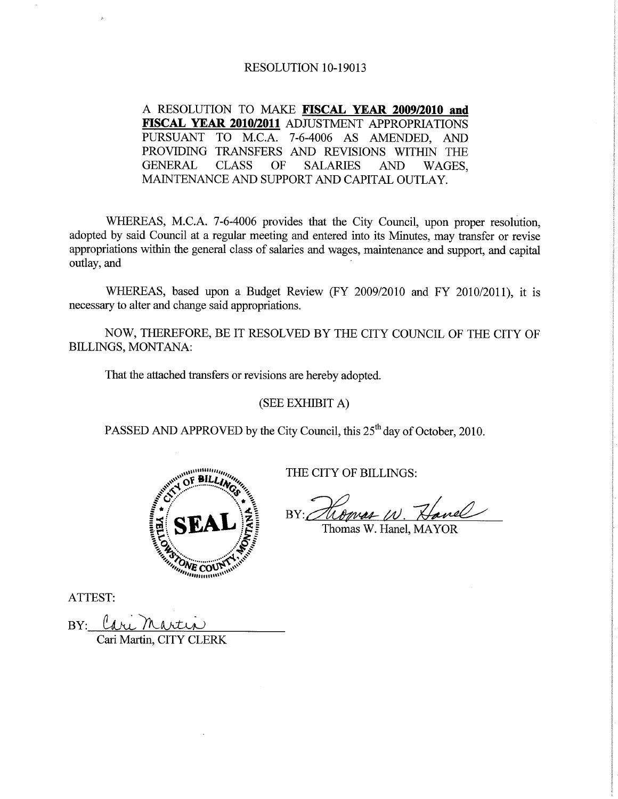#### RESOLUTION 10-19013

A RESOLUTION TO MAKE FISCAL YEAR 2009/2010 and FISCAL YEAR 2010/2011 ADJUSTMENT APPROPRIATIONS PURSUANT TO M.C.A. 7-6-4006 AS AMENDED, AND PROVIDING TRANSFERS AND REVISIONS WITHIN THE **GENERAL CLASS OF SALARIES AND** WAGES, MAINTENANCE AND SUPPORT AND CAPITAL OUTLAY.

WHEREAS, M.C.A. 7-6-4006 provides that the City Council, upon proper resolution, adopted by said Council at a regular meeting and entered into its Minutes, may transfer or revise appropriations within the general class of salaries and wages, maintenance and support, and capital outlay, and

WHEREAS, based upon a Budget Review (FY 2009/2010 and FY 2010/2011), it is necessary to alter and change said appropriations.

NOW, THEREFORE, BE IT RESOLVED BY THE CITY COUNCIL OF THE CITY OF BILLINGS, MONTANA:

That the attached transfers or revisions are hereby adopted.

(SEE EXHIBIT A)

PASSED AND APPROVED by the City Council, this 25<sup>th</sup> day of October, 2010.



THE CITY OF BILLINGS:

 $BY: \subset$ 

Thomas W. Hanel, MAYOR

ATTEST:

BY:

Cari Martin, CITY CLERK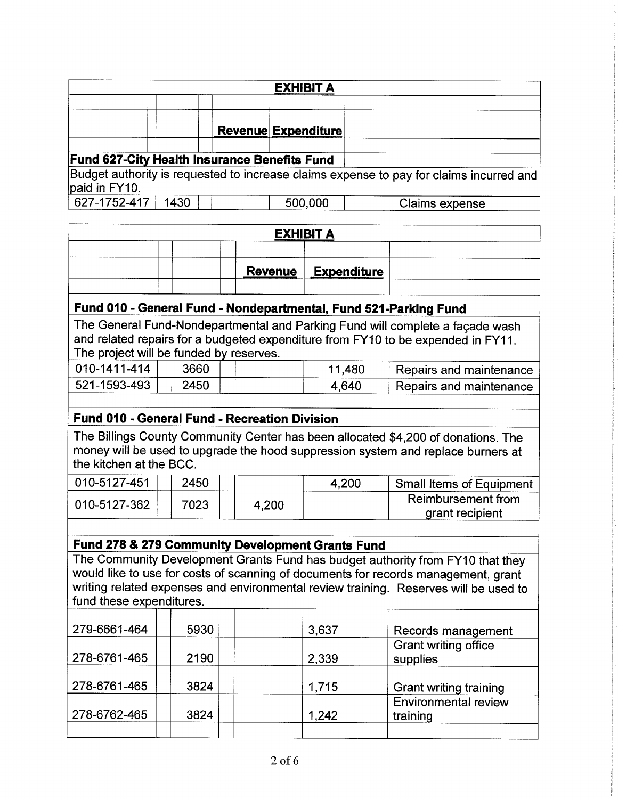|                                                     |      | <b>EXHIBIT A</b>           |                                                                                         |
|-----------------------------------------------------|------|----------------------------|-----------------------------------------------------------------------------------------|
|                                                     |      |                            |                                                                                         |
|                                                     |      | <b>Revenue Expenditure</b> |                                                                                         |
| <b>Fund 627-City Health Insurance Benefits Fund</b> |      |                            |                                                                                         |
| paid in FY10.                                       |      |                            | Budget authority is requested to increase claims expense to pay for claims incurred and |
| 627-1752-417                                        | 1430 | 500,000                    | Claims expense                                                                          |

| <b>EXHIBIT A</b> |  |  |  |  |                       |  |
|------------------|--|--|--|--|-----------------------|--|
|                  |  |  |  |  |                       |  |
|                  |  |  |  |  | Revenue   Expenditure |  |
|                  |  |  |  |  |                       |  |

### Fund 010 - General Fund - Nondepartmental, Fund 521-Parking Fund

The General Fund-Nondepartmental and Parking Fund will complete a façade wash and related repairs for a budgeted expenditure from FY10 to be expended in FY11. The project will be funded by reserves.

| 010-1411-414 | 3660 | 11.480 | Repairs and maintenance |
|--------------|------|--------|-------------------------|
| 521-1593-493 | 2450 | 4.640  | Repairs and maintenance |

### Fund 010 - General Fund - Recreation Division

The Billings County Community Center has been allocated \$4,200 of donations. The money will be used to upgrade the hood suppression system and replace burners at the kitchen at the BCC.

| 010-5127-451 | 2450 |       | 4.200 | <b>Small Items of Equipment</b> |
|--------------|------|-------|-------|---------------------------------|
| 010-5127-362 | 7023 | 4,200 |       | Reimbursement from              |
|              |      |       |       | grant recipient                 |

#### Fund 278 & 279 Gommunity Development Grants Fund

The Community Development Grants Fund has budget authority from FY10 that they would like to use for costs of scanning of documents for records management, grant writing related expenses and environmental review training. Reserves will be used to fund these expenditures.

| 279-6661-464 | 5930 | 3,637 | Records management                      |
|--------------|------|-------|-----------------------------------------|
| 278-6761-465 | 2190 | 2,339 | <b>Grant writing office</b><br>supplies |
| 278-6761-465 | 3824 | 1,715 | <b>Grant writing training</b>           |
| 278-6762-465 | 3824 | 1,242 | <b>Environmental review</b><br>training |
|              |      |       |                                         |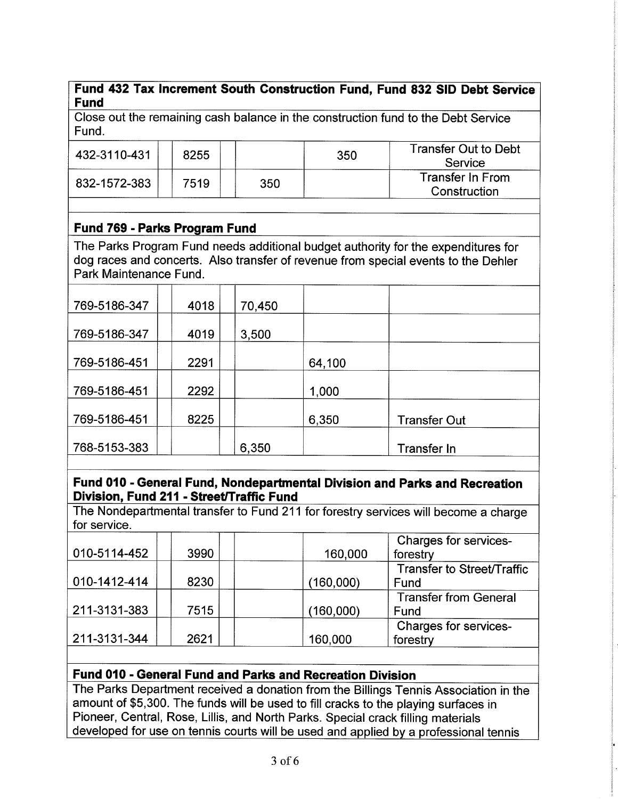### Fund 432 Tax Increment South Gonstruction Fund, Fund 832 SID Debt Seryice Fund

Close out the remaíning cash balance in the construction fund to the Debt Service Fund.

| 432-3110-431 | 8255 |     | 350 | <b>Transfer Out to Debt</b><br>Service  |
|--------------|------|-----|-----|-----------------------------------------|
| 832-1572-383 | 7519 | 350 |     | <b>Transfer In From</b><br>Construction |

# Fund 769 - Parks Program Fund

The Parks Program Fund needs additional budget authority for the expenditures for dog races and concerts. Also transfer of revenue from special events to the Dehler Park Maintenance Fund.

| 769-5186-347 | 4018 | 70,450 |        |                     |
|--------------|------|--------|--------|---------------------|
|              |      |        |        |                     |
| 769-5186-347 | 4019 | 3,500  |        |                     |
|              |      |        |        |                     |
| 769-5186-451 | 2291 |        | 64,100 |                     |
|              |      |        |        |                     |
| 769-5186-451 | 2292 |        | 1,000  |                     |
|              |      |        |        |                     |
| 769-5186-451 | 8225 |        | 6,350  | <b>Transfer Out</b> |
|              |      |        |        |                     |
| 768-5153-383 |      | 6,350  |        | Transfer In         |
|              |      |        |        |                     |

### Fund 010 - General Fund, Nondepartmental Division and Parks and Recreation Division, Fund 211 - Street/Traffic Fund

The Nondepartmental transfer to Fund 211 for forestry services will become a charge for service.

| 010-5114-452 | 3990 | 160,000   | Charges for services-<br>forestry    |
|--------------|------|-----------|--------------------------------------|
| 010-1412-414 | 8230 | (160,000) | Transfer to Street/Traffic<br>Fund   |
| 211-3131-383 | 7515 | (160,000) | <b>Transfer from General</b><br>Fund |
| 211-3131-344 | 2621 | 160,000   | Charges for services-<br>forestry    |

# Fund 010 - General Fund and Parks and Recreation Division

The Parks Depaftment received a donation from the Billings Tennis Association in the amount of \$5,300. The funds will be used to fill cracks to the playing surfaces in Pioneer, Central, Rose, Lillis, and North Parks. Special crack filling materials developed for use on tennis courts will be used and applied bv a professional tennis

t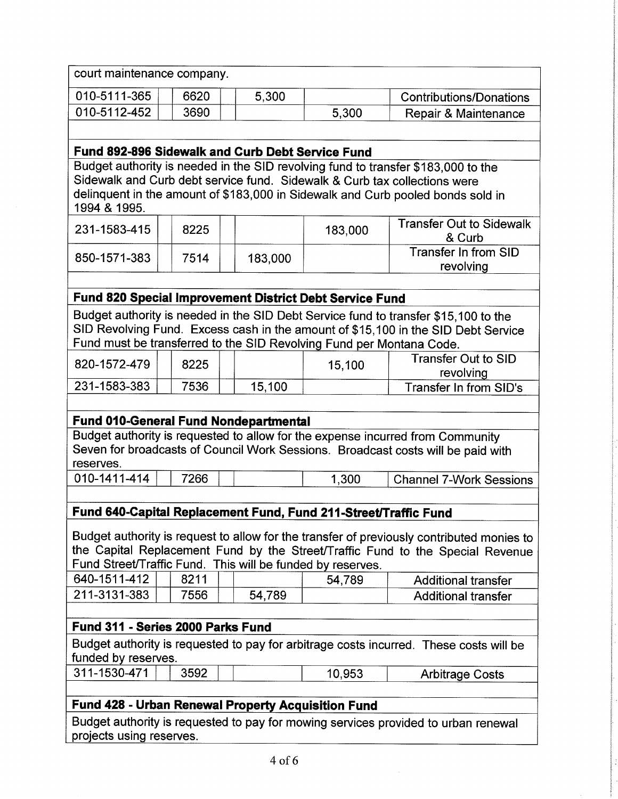| court maintenance company.                       |      |       |       |                                                                                   |  |  |
|--------------------------------------------------|------|-------|-------|-----------------------------------------------------------------------------------|--|--|
| 010-5111-365                                     | 6620 | 5,300 |       | <b>Contributions/Donations</b>                                                    |  |  |
| 010-5112-452                                     | 3690 |       | 5,300 | Repair & Maintenance                                                              |  |  |
|                                                  |      |       |       |                                                                                   |  |  |
| Fund 892-896 Sidewalk and Curb Debt Service Fund |      |       |       |                                                                                   |  |  |
|                                                  |      |       |       | Budget authority is needed in the SID revolving fund to transfer \$183,000 to the |  |  |
|                                                  |      |       |       | Sidewalk and Curb debt service fund. Sidewalk & Curb tax collections were         |  |  |
|                                                  |      |       |       | delinquent in the amount of \$183,000 in Sidewalk and Curb pooled bonds sold in   |  |  |

| 1994 & 1995. |  |
|--------------|--|
|--------------|--|

| 231-1583-415 | 8225 |         | 183,000 | <b>Transfer Out to Sidewalk</b><br>& Curb |
|--------------|------|---------|---------|-------------------------------------------|
| 850-1571-383 | 7514 | 183,000 |         | Transfer In from SID<br>revolving         |

#### Fund 820 Special lmprovement District Debt Seryice Fund

Budget authority is needed in the SID Debt Service fund to transfer \$15,100 to the SID Revolving Fund. Excess cash in the amount of \$15,100 in the SID Debt Service Fund must be transferred to the SID Revolvinq Fund per Montana Code.

| 820-1572-479 | 8225 |        | 15,100 | Transfer Out to SID<br>revolving |
|--------------|------|--------|--------|----------------------------------|
| 231-1583-383 | 7536 | 15.100 |        | Transfer In from SID's           |

### Fund 01O-General Fund Nondepartmental

Budget authority is requested to allow for the expense incurred from Community Seven for broadcasts of Council Work Sessions. Broadcast costs will be paid with reserves.

| 010-1411-414 | 7266 | .300 | <b>Channel 7-Work Sessions</b> |
|--------------|------|------|--------------------------------|
|              |      |      |                                |

### Fund 640-Capital Replacement Fund, Fund 211-Street/Traffic Fund

Budget authority is request to allow for the transfer of previously contributed monies to the Capital Replacement Fund by the Street/Traffic Fund to the Special Revenue Fund StreeVTraffic Fund. This will be funded bv reserves.

| 640-1511-412 | 8211 |        | 54.789 | <b>Additional transfer</b> |
|--------------|------|--------|--------|----------------------------|
| 211-3131-383 | 7556 | 54.789 |        | <b>Additional transfer</b> |

### Fund 311 - Series 2000 Parks Fund

Budget authority is requested to pay for arbitrage costs incurred. These costs will be funded by reserves.

| 311-1530-471 | 3592 | 10.953 | <b>Arbitrage Costs</b> |
|--------------|------|--------|------------------------|
|              |      |        |                        |

### Fund 428 - Urban Renewal Property Acquisition Fund

Budget authority is requested to pay for mowing services provided to urban renewal projects using reserves.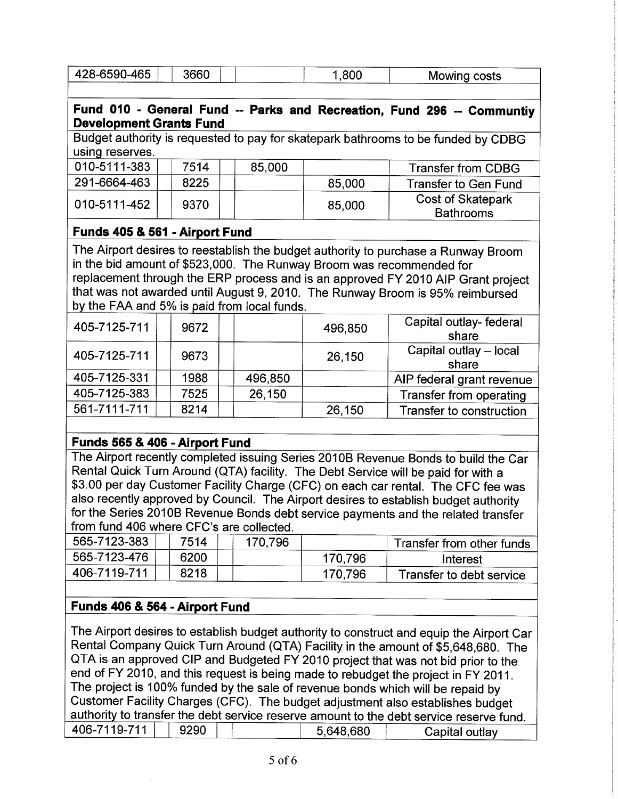| 428-6590-465                                                                                                                                                                                                                                                                                                                                                                                                                                                                          |                                | 3660 |  |         | 1,800                                                                | Mowing costs                                                                                                                                                                                                                                                                                                                                                                                                                                                                                                                                                                                                                               |  |  |
|---------------------------------------------------------------------------------------------------------------------------------------------------------------------------------------------------------------------------------------------------------------------------------------------------------------------------------------------------------------------------------------------------------------------------------------------------------------------------------------|--------------------------------|------|--|---------|----------------------------------------------------------------------|--------------------------------------------------------------------------------------------------------------------------------------------------------------------------------------------------------------------------------------------------------------------------------------------------------------------------------------------------------------------------------------------------------------------------------------------------------------------------------------------------------------------------------------------------------------------------------------------------------------------------------------------|--|--|
|                                                                                                                                                                                                                                                                                                                                                                                                                                                                                       |                                |      |  |         |                                                                      |                                                                                                                                                                                                                                                                                                                                                                                                                                                                                                                                                                                                                                            |  |  |
| Fund 010 - General Fund -- Parks and Recreation, Fund 296 -- Communtiy<br><b>Development Grants Fund</b>                                                                                                                                                                                                                                                                                                                                                                              |                                |      |  |         |                                                                      |                                                                                                                                                                                                                                                                                                                                                                                                                                                                                                                                                                                                                                            |  |  |
| Budget authority is requested to pay for skatepark bathrooms to be funded by CDBG<br>using reserves.                                                                                                                                                                                                                                                                                                                                                                                  |                                |      |  |         |                                                                      |                                                                                                                                                                                                                                                                                                                                                                                                                                                                                                                                                                                                                                            |  |  |
| 010-5111-383                                                                                                                                                                                                                                                                                                                                                                                                                                                                          |                                | 7514 |  | 85,000  |                                                                      | <b>Transfer from CDBG</b>                                                                                                                                                                                                                                                                                                                                                                                                                                                                                                                                                                                                                  |  |  |
| 291-6664-463                                                                                                                                                                                                                                                                                                                                                                                                                                                                          |                                | 8225 |  |         | 85,000                                                               | <b>Transfer to Gen Fund</b>                                                                                                                                                                                                                                                                                                                                                                                                                                                                                                                                                                                                                |  |  |
| 010-5111-452                                                                                                                                                                                                                                                                                                                                                                                                                                                                          |                                | 9370 |  |         | 85,000                                                               | Cost of Skatepark<br><b>Bathrooms</b>                                                                                                                                                                                                                                                                                                                                                                                                                                                                                                                                                                                                      |  |  |
| Funds 405 & 561 - Airport Fund                                                                                                                                                                                                                                                                                                                                                                                                                                                        |                                |      |  |         |                                                                      |                                                                                                                                                                                                                                                                                                                                                                                                                                                                                                                                                                                                                                            |  |  |
| by the FAA and 5% is paid from local funds.                                                                                                                                                                                                                                                                                                                                                                                                                                           |                                |      |  |         | in the bid amount of \$523,000. The Runway Broom was recommended for | The Airport desires to reestablish the budget authority to purchase a Runway Broom<br>replacement through the ERP process and is an approved FY 2010 AIP Grant project<br>that was not awarded until August 9, 2010. The Runway Broom is 95% reimbursed                                                                                                                                                                                                                                                                                                                                                                                    |  |  |
| 405-7125-711                                                                                                                                                                                                                                                                                                                                                                                                                                                                          |                                | 9672 |  |         | 496,850                                                              | Capital outlay- federal<br>share                                                                                                                                                                                                                                                                                                                                                                                                                                                                                                                                                                                                           |  |  |
| 405-7125-711                                                                                                                                                                                                                                                                                                                                                                                                                                                                          |                                | 9673 |  |         | 26,150                                                               | Capital outlay - local<br>share                                                                                                                                                                                                                                                                                                                                                                                                                                                                                                                                                                                                            |  |  |
| 405-7125-331                                                                                                                                                                                                                                                                                                                                                                                                                                                                          |                                | 1988 |  | 496,850 |                                                                      | AIP federal grant revenue                                                                                                                                                                                                                                                                                                                                                                                                                                                                                                                                                                                                                  |  |  |
| 405-7125-383                                                                                                                                                                                                                                                                                                                                                                                                                                                                          |                                | 7525 |  | 26,150  |                                                                      | Transfer from operating                                                                                                                                                                                                                                                                                                                                                                                                                                                                                                                                                                                                                    |  |  |
| 561-7111-711                                                                                                                                                                                                                                                                                                                                                                                                                                                                          |                                | 8214 |  |         | 26,150                                                               | Transfer to construction                                                                                                                                                                                                                                                                                                                                                                                                                                                                                                                                                                                                                   |  |  |
|                                                                                                                                                                                                                                                                                                                                                                                                                                                                                       |                                |      |  |         |                                                                      |                                                                                                                                                                                                                                                                                                                                                                                                                                                                                                                                                                                                                                            |  |  |
|                                                                                                                                                                                                                                                                                                                                                                                                                                                                                       | Funds 565 & 406 - Airport Fund |      |  |         |                                                                      |                                                                                                                                                                                                                                                                                                                                                                                                                                                                                                                                                                                                                                            |  |  |
| The Airport recently completed issuing Series 2010B Revenue Bonds to build the Car<br>Rental Quick Turn Around (QTA) facility. The Debt Service will be paid for with a<br>\$3.00 per day Customer Facility Charge (CFC) on each car rental. The CFC fee was<br>also recently approved by Council. The Airport desires to establish budget authority<br>for the Series 2010B Revenue Bonds debt service payments and the related transfer<br>from fund 406 where CFC's are collected. |                                |      |  |         |                                                                      |                                                                                                                                                                                                                                                                                                                                                                                                                                                                                                                                                                                                                                            |  |  |
| 565-7123-383                                                                                                                                                                                                                                                                                                                                                                                                                                                                          |                                | 7514 |  | 170,796 |                                                                      | Transfer from other funds                                                                                                                                                                                                                                                                                                                                                                                                                                                                                                                                                                                                                  |  |  |
| 565-7123-476                                                                                                                                                                                                                                                                                                                                                                                                                                                                          |                                | 6200 |  |         | 170,796                                                              | Interest                                                                                                                                                                                                                                                                                                                                                                                                                                                                                                                                                                                                                                   |  |  |
| 406-7119-711                                                                                                                                                                                                                                                                                                                                                                                                                                                                          |                                | 8218 |  |         | 170,796                                                              | Transfer to debt service                                                                                                                                                                                                                                                                                                                                                                                                                                                                                                                                                                                                                   |  |  |
| Funds 406 & 564 - Airport Fund                                                                                                                                                                                                                                                                                                                                                                                                                                                        |                                |      |  |         |                                                                      |                                                                                                                                                                                                                                                                                                                                                                                                                                                                                                                                                                                                                                            |  |  |
| 406-7119-711                                                                                                                                                                                                                                                                                                                                                                                                                                                                          |                                | 9290 |  |         | 5,648,680                                                            | The Airport desires to establish budget authority to construct and equip the Airport Car<br>Rental Company Quick Turn Around (QTA) Facility in the amount of \$5,648,680. The<br>QTA is an approved CIP and Budgeted FY 2010 project that was not bid prior to the<br>end of FY 2010, and this request is being made to rebudget the project in FY 2011.<br>The project is 100% funded by the sale of revenue bonds which will be repaid by<br>Customer Facility Charges (CFC). The budget adjustment also establishes budget<br>authority to transfer the debt service reserve amount to the debt service reserve fund.<br>Capital outlay |  |  |

 $\mathcal{L}^{\text{max}}$